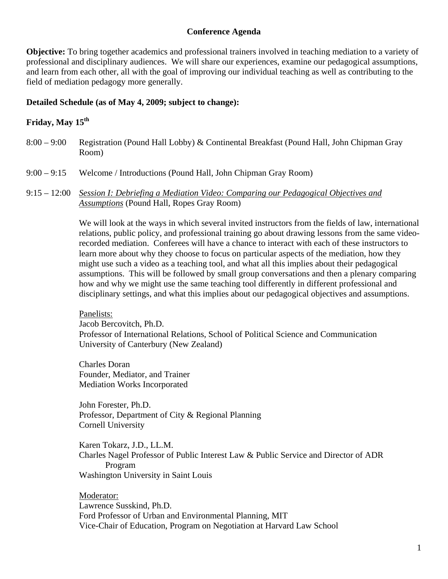# **Conference Agenda**

**Objective:** To bring together academics and professional trainers involved in teaching mediation to a variety of professional and disciplinary audiences. We will share our experiences, examine our pedagogical assumptions, and learn from each other, all with the goal of improving our individual teaching as well as contributing to the field of mediation pedagogy more generally.

# **Detailed Schedule (as of May 4, 2009; subject to change):**

# Friday, May 15<sup>th</sup>

- 8:00 9:00 Registration (Pound Hall Lobby) & Continental Breakfast (Pound Hall, John Chipman Gray Room)
- 9:00 9:15 Welcome / Introductions (Pound Hall, John Chipman Gray Room)
- 9:15 12:00 *Session I: Debriefing a Mediation Video: Comparing our Pedagogical Objectives and Assumptions* (Pound Hall, Ropes Gray Room)

We will look at the ways in which several invited instructors from the fields of law, international relations, public policy, and professional training go about drawing lessons from the same videorecorded mediation. Conferees will have a chance to interact with each of these instructors to learn more about why they choose to focus on particular aspects of the mediation, how they might use such a video as a teaching tool, and what all this implies about their pedagogical assumptions. This will be followed by small group conversations and then a plenary comparing how and why we might use the same teaching tool differently in different professional and disciplinary settings, and what this implies about our pedagogical objectives and assumptions.

Panelists:

Jacob Bercovitch, Ph.D. Professor of International Relations, School of Political Science and Communication University of Canterbury (New Zealand)

Charles Doran Founder, Mediator, and Trainer Mediation Works Incorporated

John Forester, Ph.D. Professor, Department of City & Regional Planning Cornell University

Karen Tokarz, J.D., LL.M. Charles Nagel Professor of Public Interest Law & Public Service and Director of ADR Program Washington University in Saint Louis

Moderator: Lawrence Susskind, Ph.D. Ford Professor of Urban and Environmental Planning, MIT Vice-Chair of Education, Program on Negotiation at Harvard Law School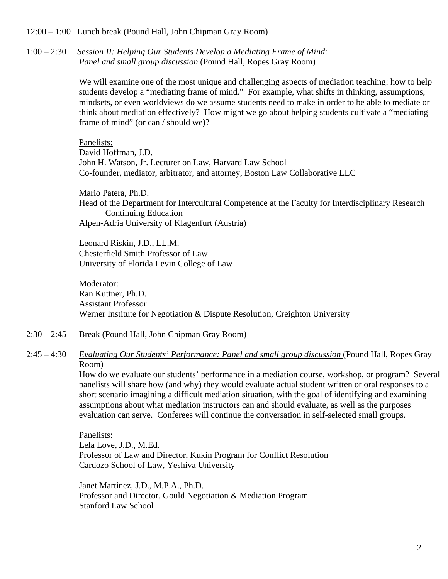12:00 – 1:00 Lunch break (Pound Hall, John Chipman Gray Room)

## 1:00 – 2:30 *Session II: Helping Our Students Develop a Mediating Frame of Mind: Panel and small group discussion* (Pound Hall, Ropes Gray Room)

We will examine one of the most unique and challenging aspects of mediation teaching: how to help students develop a "mediating frame of mind." For example, what shifts in thinking, assumptions, mindsets, or even worldviews do we assume students need to make in order to be able to mediate or think about mediation effectively? How might we go about helping students cultivate a "mediating frame of mind" (or can / should we)?

Panelists: David Hoffman, J.D. John H. Watson, Jr. Lecturer on Law, Harvard Law School Co-founder, mediator, arbitrator, and attorney, Boston Law Collaborative LLC

Mario Patera, Ph.D.

Head of the Department for Intercultural Competence at the Faculty for Interdisciplinary Research Continuing Education Alpen-Adria University of Klagenfurt (Austria)

Leonard Riskin, J.D., LL.M. Chesterfield Smith Professor of Law

University of Florida Levin College of Law

 Moderator: Ran Kuttner, Ph.D. Assistant Professor Werner Institute for Negotiation & Dispute Resolution, Creighton University

2:30 – 2:45 Break (Pound Hall, John Chipman Gray Room)

## 2:45 – 4:30 *Evaluating Our Students' Performance: Panel and small group discussion* (Pound Hall, Ropes Gray Room)

How do we evaluate our students' performance in a mediation course, workshop, or program? Several panelists will share how (and why) they would evaluate actual student written or oral responses to a short scenario imagining a difficult mediation situation, with the goal of identifying and examining assumptions about what mediation instructors can and should evaluate, as well as the purposes evaluation can serve. Conferees will continue the conversation in self-selected small groups.

Panelists: Lela Love, J.D., M.Ed. Professor of Law and Director, Kukin Program for Conflict Resolution Cardozo School of Law, Yeshiva University

Janet Martinez, J.D., M.P.A., Ph.D. Professor and Director, Gould Negotiation & Mediation Program Stanford Law School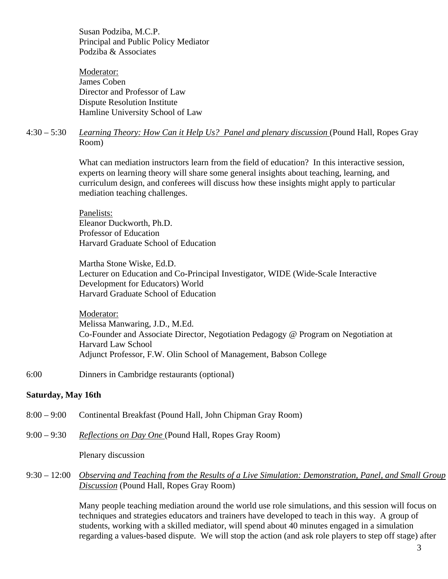Susan Podziba, M.C.P. Principal and Public Policy Mediator Podziba & Associates

Moderator: James Coben Director and Professor of Law Dispute Resolution Institute Hamline University School of Law

## 4:30 – 5:30 *Learning Theory: How Can it Help Us? Panel and plenary discussion* (Pound Hall, Ropes Gray Room)

What can mediation instructors learn from the field of education? In this interactive session, experts on learning theory will share some general insights about teaching, learning, and curriculum design, and conferees will discuss how these insights might apply to particular mediation teaching challenges.

Panelists: Eleanor Duckworth, Ph.D. Professor of Education Harvard Graduate School of Education

Martha Stone Wiske, Ed.D. Lecturer on Education and Co-Principal Investigator, WIDE (Wide-Scale Interactive Development for Educators) World Harvard Graduate School of Education

#### Moderator:

 Melissa Manwaring, J.D., M.Ed. Co-Founder and Associate Director, Negotiation Pedagogy @ Program on Negotiation at Harvard Law School Adjunct Professor, F.W. Olin School of Management, Babson College

6:00 Dinners in Cambridge restaurants (optional)

## **Saturday, May 16th**

- 8:00 9:00 Continental Breakfast (Pound Hall, John Chipman Gray Room)
- 9:00 9:30 *Reflections on Day One* (Pound Hall, Ropes Gray Room)

Plenary discussion

9:30 – 12:00 *Observing and Teaching from the Results of a Live Simulation: Demonstration, Panel, and Small Group Discussion* (Pound Hall, Ropes Gray Room)

> Many people teaching mediation around the world use role simulations, and this session will focus on techniques and strategies educators and trainers have developed to teach in this way. A group of students, working with a skilled mediator, will spend about 40 minutes engaged in a simulation regarding a values-based dispute. We will stop the action (and ask role players to step off stage) after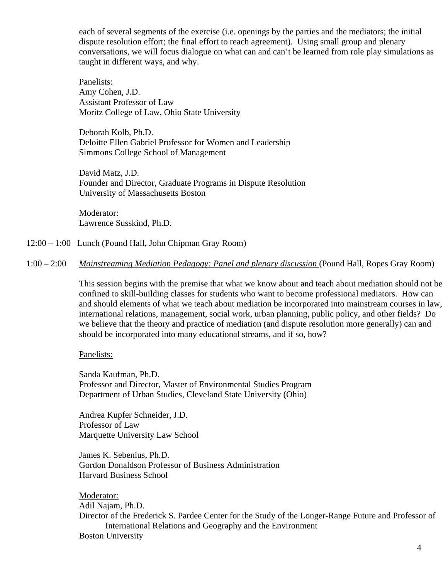each of several segments of the exercise (i.e. openings by the parties and the mediators; the initial dispute resolution effort; the final effort to reach agreement). Using small group and plenary conversations, we will focus dialogue on what can and can't be learned from role play simulations as taught in different ways, and why.

Panelists: Amy Cohen, J.D. Assistant Professor of Law Moritz College of Law, Ohio State University

Deborah Kolb, Ph.D. Deloitte Ellen Gabriel Professor for Women and Leadership Simmons College School of Management

David Matz, J.D. Founder and Director, Graduate Programs in Dispute Resolution University of Massachusetts Boston

Moderator: Lawrence Susskind, Ph.D.

- 12:00 1:00 Lunch (Pound Hall, John Chipman Gray Room)
- 1:00 2:00 *Mainstreaming Mediation Pedagogy: Panel and plenary discussion* (Pound Hall, Ropes Gray Room)

 This session begins with the premise that what we know about and teach about mediation should not be confined to skill-building classes for students who want to become professional mediators. How can and should elements of what we teach about mediation be incorporated into mainstream courses in law, international relations, management, social work, urban planning, public policy, and other fields? Do we believe that the theory and practice of mediation (and dispute resolution more generally) can and should be incorporated into many educational streams, and if so, how?

# Panelists:

Sanda Kaufman, Ph.D. Professor and Director, Master of Environmental Studies Program Department of Urban Studies, Cleveland State University (Ohio)

Andrea Kupfer Schneider, J.D. Professor of Law Marquette University Law School

James K. Sebenius, Ph.D. Gordon Donaldson Professor of Business Administration Harvard Business School

 Moderator: Adil Najam, Ph.D. Director of the Frederick S. Pardee Center for the Study of the Longer-Range Future and Professor of International Relations and Geography and the Environment Boston University